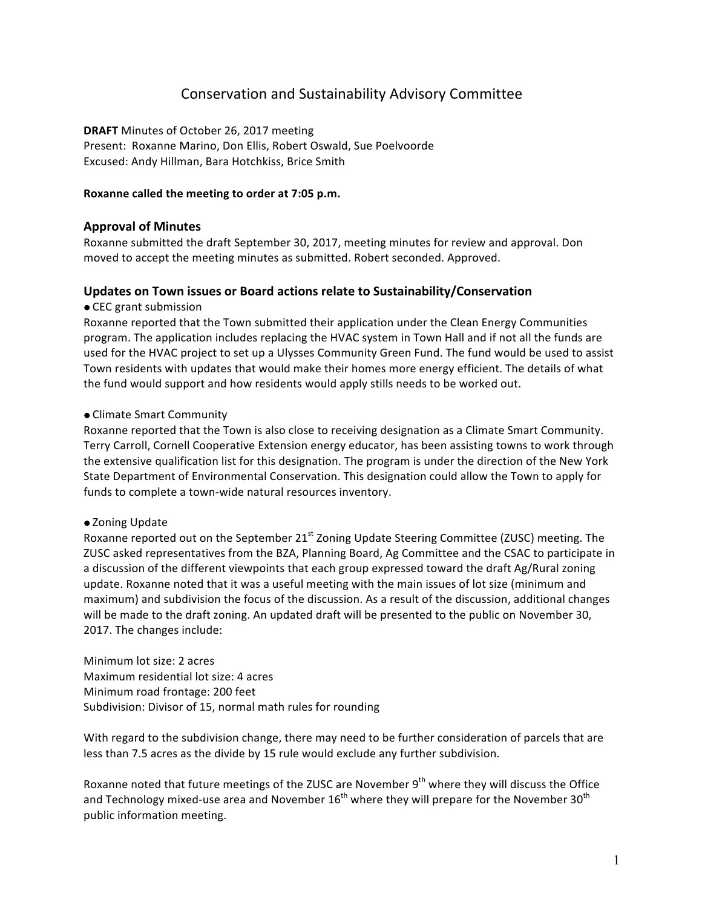# Conservation and Sustainability Advisory Committee

**DRAFT** Minutes of October 26, 2017 meeting Present: Roxanne Marino, Don Ellis, Robert Oswald, Sue Poelvoorde Excused: Andy Hillman, Bara Hotchkiss, Brice Smith

#### Roxanne called the meeting to order at 7:05 p.m.

## **Approval of Minutes**

Roxanne submitted the draft September 30, 2017, meeting minutes for review and approval. Don moved to accept the meeting minutes as submitted. Robert seconded. Approved.

#### Updates on Town issues or Board actions relate to Sustainability/Conservation

• CEC grant submission

Roxanne reported that the Town submitted their application under the Clean Energy Communities program. The application includes replacing the HVAC system in Town Hall and if not all the funds are used for the HVAC project to set up a Ulysses Community Green Fund. The fund would be used to assist Town residents with updates that would make their homes more energy efficient. The details of what the fund would support and how residents would apply stills needs to be worked out.

#### • Climate Smart Community

Roxanne reported that the Town is also close to receiving designation as a Climate Smart Community. Terry Carroll, Cornell Cooperative Extension energy educator, has been assisting towns to work through the extensive qualification list for this designation. The program is under the direction of the New York State Department of Environmental Conservation. This designation could allow the Town to apply for funds to complete a town-wide natural resources inventory.

#### • Zoning Update

Roxanne reported out on the September  $21^{st}$  Zoning Update Steering Committee (ZUSC) meeting. The ZUSC asked representatives from the BZA, Planning Board, Ag Committee and the CSAC to participate in a discussion of the different viewpoints that each group expressed toward the draft Ag/Rural zoning update. Roxanne noted that it was a useful meeting with the main issues of lot size (minimum and maximum) and subdivision the focus of the discussion. As a result of the discussion, additional changes will be made to the draft zoning. An updated draft will be presented to the public on November 30, 2017. The changes include:

Minimum lot size: 2 acres Maximum residential lot size: 4 acres Minimum road frontage: 200 feet Subdivision: Divisor of 15, normal math rules for rounding

With regard to the subdivision change, there may need to be further consideration of parcels that are less than 7.5 acres as the divide by 15 rule would exclude any further subdivision.

Roxanne noted that future meetings of the ZUSC are November  $9<sup>th</sup>$  where they will discuss the Office and Technology mixed-use area and November  $16^{th}$  where they will prepare for the November  $30^{th}$ public information meeting.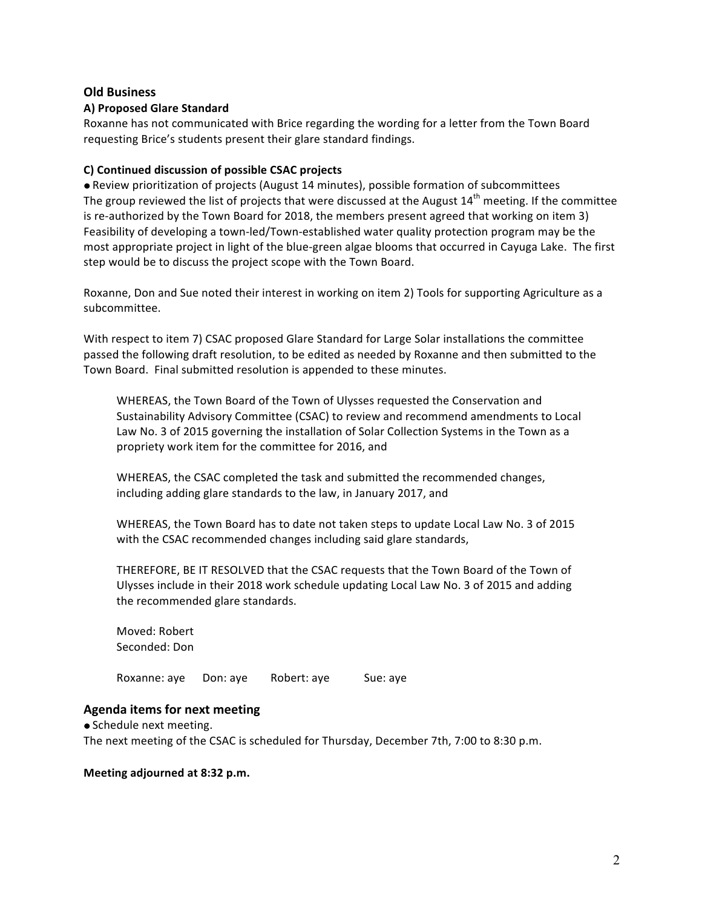## **Old Business**

## **A) Proposed Glare Standard**

Roxanne has not communicated with Brice regarding the wording for a letter from the Town Board requesting Brice's students present their glare standard findings.

#### **C) Continued discussion of possible CSAC projects**

 $\bullet$  Review prioritization of projects (August 14 minutes), possible formation of subcommittees The group reviewed the list of projects that were discussed at the August  $14^{th}$  meeting. If the committee is re-authorized by the Town Board for 2018, the members present agreed that working on item 3) Feasibility of developing a town-led/Town-established water quality protection program may be the most appropriate project in light of the blue-green algae blooms that occurred in Cayuga Lake. The first step would be to discuss the project scope with the Town Board.

Roxanne, Don and Sue noted their interest in working on item 2) Tools for supporting Agriculture as a subcommittee. 

With respect to item 7) CSAC proposed Glare Standard for Large Solar installations the committee passed the following draft resolution, to be edited as needed by Roxanne and then submitted to the Town Board. Final submitted resolution is appended to these minutes.

WHEREAS, the Town Board of the Town of Ulysses requested the Conservation and Sustainability Advisory Committee (CSAC) to review and recommend amendments to Local Law No. 3 of 2015 governing the installation of Solar Collection Systems in the Town as a propriety work item for the committee for 2016, and

WHEREAS, the CSAC completed the task and submitted the recommended changes, including adding glare standards to the law, in January 2017, and

WHEREAS, the Town Board has to date not taken steps to update Local Law No. 3 of 2015 with the CSAC recommended changes including said glare standards,

THEREFORE, BE IT RESOLVED that the CSAC requests that the Town Board of the Town of Ulysses include in their 2018 work schedule updating Local Law No. 3 of 2015 and adding the recommended glare standards.

Moved: Robert Seconded: Don

Roxanne: aye Don: aye Robert: aye Sue: aye

## **Agenda items for next meeting**

• Schedule next meeting. The next meeting of the CSAC is scheduled for Thursday, December 7th, 7:00 to 8:30 p.m.

#### **Meeting adjourned at 8:32 p.m.**